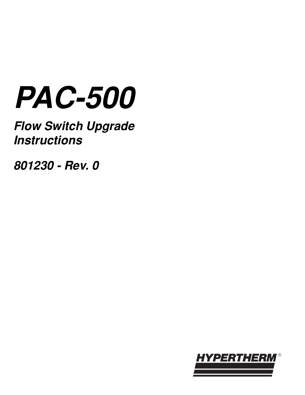# **PAC-500**

**Flow Switch Upgrade Instructions**

**801230 - Rev. 0**

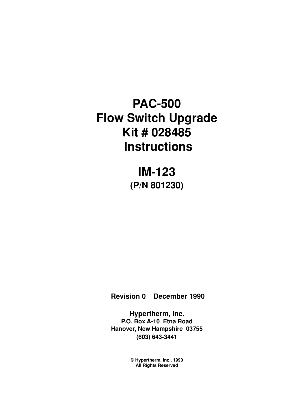# **PAC-500 Flow Switch Upgrade Kit # 028485 Instructions**

**IM-123 (P/N 801230)**

 **Revision 0 December 1990**

**Hypertherm, Inc. P.O. Box A-10 Etna Road Hanover, New Hampshire 03755 (603) 643-3441**

> **© Hypertherm, Inc., 1990 All Rights Reserved**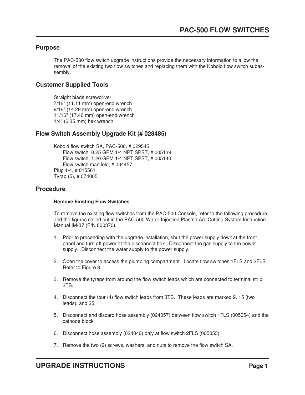#### **Purpose**

The PAC-500 flow switch upgrade instructions provide the necessary information to allow the removal of the existing two flow switches and replacing them with the Kobold flow switch subassembly.

### **Customer Supplied Tools**

Straight blade screwdriver 7/16" (11.11 mm) open-end wrench 9/16" (14.29 mm) open-end wrench 11/16" (17.46 mm) open-end wrench 1/4" (6.35 mm) hex wrench

## **Flow Switch Assembly Upgrade Kit (# 028485)**

Kobold flow switch SA, PAC-500, # 029545 Flow switch, 0.25 GPM 1/4 NPT SPST, # 005139 Flow switch, 1.20 GPM 1/4 NPT SPST, # 005140 Flow switch manifold, # 004457 Plug 1/4, # 015561 Tyrap (5), # 074005

#### **Procedure**

#### **Remove Existing Flow Switches**

To remove the existing flow switches from the PAC-500 Console, refer to the following procedure and the figures called out in the PAC-500 Water-Injection Plasma Arc Cutting System Instruction Manual IM-37 (P/N 800370).

- 1. Prior to proceeding with the upgrade installation, shut the power supply downat the front panel and turn off power at the disconnect box. Disconnect the gas supply to the power supply. Disconnect the water supply to the power supply.
- 2. Open the cover to access the plumbing compartment. Locate flow switches 1FLS and 2FLS Refer to Figure 8.
- 3. Remove the tyraps from around the flow switch leads which are connected to terminal strip 3TB.
- 4. Disconnect the four (4) flow switch leads from 3TB. These leads are marked 9, 15 (two leads), and 25.
- 5. Disconnect and discard hose assembly (024057) between flow switch 1FLS (005054) and the cathode block.
- 6. Disconnect hose assembly (024040) only at flow switch 2FLS (005053).
- 7. Remove the two (2) screws, washers, and nuts to remove the flow switch SA.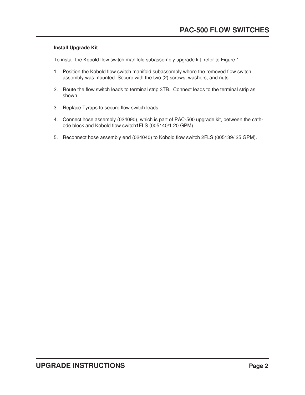#### **Install Upgrade Kit**

To install the Kobold flow switch manifold subassembly upgrade kit, refer to Figure 1.

- 1. Position the Kobold flow switch manifold subassembly where the removed flow switch assembly was mounted. Secure with the two (2) screws, washers, and nuts.
- 2. Route the flow switch leads to terminal strip 3TB. Connect leads to the terminal strip as shown.
- 3. Replace Tyraps to secure flow switch leads.
- 4. Connect hose assembly (024090), which is part of PAC-500 upgrade kit, between the cathode block and Kobold flow switch1FLS (005140/1.20 GPM).
- 5. Reconnect hose assembly end (024040) to Kobold flow switch 2FLS (005139/.25 GPM).